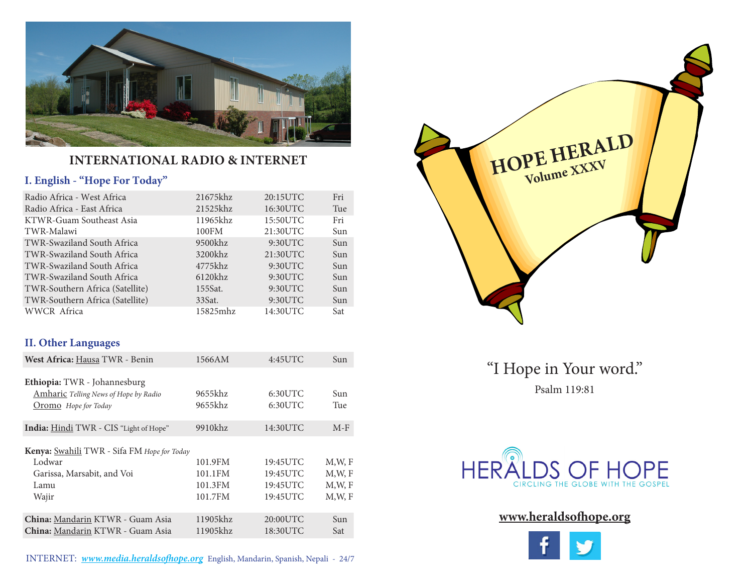

### **INTERNATIONAL RADIO & INTERNET**

#### **I. English - "Hope For Today"**

| Radio Africa - West Africa      | 21675khz   | 20:15UTC | Fri |
|---------------------------------|------------|----------|-----|
| Radio Africa - East Africa      | 21525khz   | 16:30UTC | Tue |
| KTWR-Guam Southeast Asia        | 11965khz   | 15:50UTC | Fri |
| TWR-Malawi                      | 100FM      | 21:30UTC | Sun |
| TWR-Swaziland South Africa      | $9500$ khz | 9:30UTC  | Sun |
| TWR-Swaziland South Africa      | 3200khz    | 21:30UTC | Sun |
| TWR-Swaziland South Africa      | 4775khz    | 9:30UTC  | Sun |
| TWR-Swaziland South Africa      | $6120$ khz | 9:30UTC  | Sun |
| TWR-Southern Africa (Satellite) | 155Sat.    | 9:30UTC  | Sun |
| TWR-Southern Africa (Satellite) | 33Sat.     | 9:30UTC  | Sun |
| WWCR Africa                     | 15825mhz   | 14:30UTC | Sat |

### **II. Other Languages**

| West Africa: Hausa TWR - Benin                                                                              | 1566AM                                   | 4:45UTC                                      | Sun                              |
|-------------------------------------------------------------------------------------------------------------|------------------------------------------|----------------------------------------------|----------------------------------|
| Ethiopia: TWR - Johannesburg<br><b>Amharic</b> Telling News of Hope by Radio<br><b>Oromo</b> Hope for Today | 9655khz<br>9655khz                       | 6:30UTC<br>6:30UTC                           | Sun<br>Tue                       |
| <b>India:</b> Hindi TWR - CIS "Light of Hope"                                                               | 9910khz                                  | 14:30UTC                                     | $M-F$                            |
| Kenya: Swahili TWR - Sifa FM Hope for Today<br>Lodwar<br>Garissa, Marsabit, and Voi<br>Lamu<br>Wajir        | 101.9FM<br>101.1FM<br>101.3FM<br>101.7FM | 19:45UTC<br>19:45UTC<br>19:45UTC<br>19:45UTC | M.W.F<br>M.W.F<br>M.W.F<br>M.W.F |
| China: Mandarin KTWR - Guam Asia<br>China: Mandarin KTWR - Guam Asia                                        | 11905khz<br>11905khz                     | 20:00UTC<br>18:30UTC                         | Sun<br>Sat                       |



"I Hope in Your word." Psalm 119:81



### **www.heraldsofhope.org**

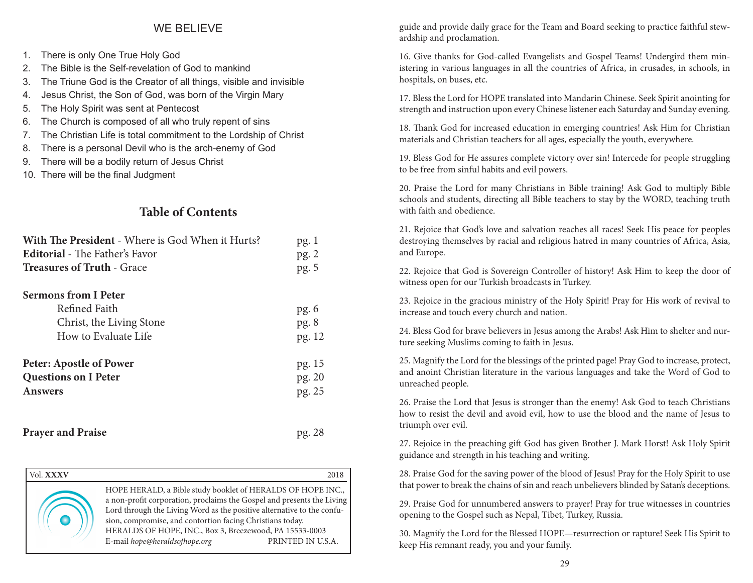#### WE BELIEVE

- 1. There is only One True Holy God
- 2. The Bible is the Self-revelation of God to mankind
- 3. The Triune God is the Creator of all things, visible and invisible
- 4. Jesus Christ, the Son of God, was born of the Virgin Mary
- 5. The Holy Spirit was sent at Pentecost
- 6. The Church is composed of all who truly repent of sins
- 7. The Christian Life is total commitment to the Lordship of Christ
- 8. There is a personal Devil who is the arch-enemy of God
- 9. There will be a bodily return of Jesus Christ
- 10. There will be the final Judgment

### **Table of Contents**

| With The President - Where is God When it Hurts?                                                 | pg.1                    |  |
|--------------------------------------------------------------------------------------------------|-------------------------|--|
| <b>Editorial</b> - The Father's Favor                                                            | pg.2                    |  |
| <b>Treasures of Truth - Grace</b>                                                                | pg. 5                   |  |
| <b>Sermons from I Peter</b><br>Refined Faith<br>Christ, the Living Stone<br>How to Evaluate Life | pg.6<br>pg. 8<br>pg. 12 |  |
| <b>Peter: Apostle of Power</b>                                                                   | pg. 15                  |  |
| <b>Questions on I Peter</b>                                                                      | pg. 20                  |  |
| <b>Answers</b>                                                                                   | pg. 25                  |  |
| <b>Prayer and Praise</b>                                                                         | pg. 28                  |  |

| Vol. XXXV |                                                                                                                                                                                                                                                                                                                                                                          | 2018              |
|-----------|--------------------------------------------------------------------------------------------------------------------------------------------------------------------------------------------------------------------------------------------------------------------------------------------------------------------------------------------------------------------------|-------------------|
|           | HOPE HERALD, a Bible study booklet of HERALDS OF HOPE INC.,<br>a non-profit corporation, proclaims the Gospel and presents the Living<br>Lord through the Living Word as the positive alternative to the confu-<br>sion, compromise, and contortion facing Christians today.<br>HERALDS OF HOPE, INC., Box 3, Breezewood, PA 15533-0003<br>E-mail hope@heraldsofhope.org | PRINTED IN U.S.A. |

guide and provide daily grace for the Team and Board seeking to practice faithful stewardship and proclamation.

16. Give thanks for God-called Evangelists and Gospel Teams! Undergird them ministering in various languages in all the countries of Africa, in crusades, in schools, in hospitals, on buses, etc.

17. Bless the Lord for HOPE translated into Mandarin Chinese. Seek Spirit anointing for strength and instruction upon every Chinese listener each Saturday and Sunday evening.

18. Thank God for increased education in emerging countries! Ask Him for Christian materials and Christian teachers for all ages, especially the youth, everywhere.

19. Bless God for He assures complete victory over sin! Intercede for people struggling to be free from sinful habits and evil powers.

20. Praise the Lord for many Christians in Bible training! Ask God to multiply Bible schools and students, directing all Bible teachers to stay by the WORD, teaching truth with faith and obedience.

21. Rejoice that God's love and salvation reaches all races! Seek His peace for peoples destroying themselves by racial and religious hatred in many countries of Africa, Asia, and Europe.

22. Rejoice that God is Sovereign Controller of history! Ask Him to keep the door of witness open for our Turkish broadcasts in Turkey.

23. Rejoice in the gracious ministry of the Holy Spirit! Pray for His work of revival to increase and touch every church and nation.

24. Bless God for brave believers in Jesus among the Arabs! Ask Him to shelter and nurture seeking Muslims coming to faith in Jesus.

25. Magnify the Lord for the blessings of the printed page! Pray God to increase, protect, and anoint Christian literature in the various languages and take the Word of God to unreached people.

26. Praise the Lord that Jesus is stronger than the enemy! Ask God to teach Christians how to resist the devil and avoid evil, how to use the blood and the name of Jesus to triumph over evil.

27. Rejoice in the preaching gift God has given Brother J. Mark Horst! Ask Holy Spirit guidance and strength in his teaching and writing.

28. Praise God for the saving power of the blood of Jesus! Pray for the Holy Spirit to use that power to break the chains of sin and reach unbelievers blinded by Satan's deceptions.

29. Praise God for unnumbered answers to prayer! Pray for true witnesses in countries opening to the Gospel such as Nepal, Tibet, Turkey, Russia.

30. Magnify the Lord for the Blessed HOPE—resurrection or rapture! Seek His Spirit to keep His remnant ready, you and your family.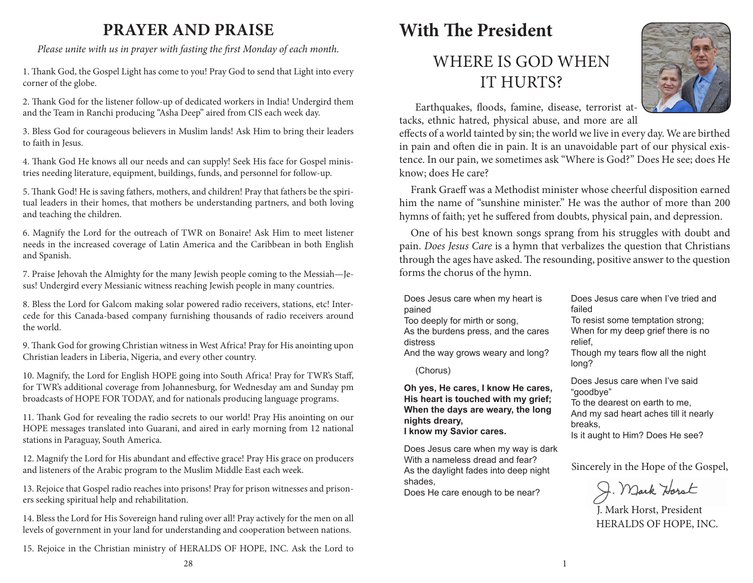# **PRAYER AND PRAISE**

*Please unite with us in prayer with fasting the first Monday of each month.*

1. Thank God, the Gospel Light has come to you! Pray God to send that Light into every corner of the globe.

2. Thank God for the listener follow-up of dedicated workers in India! Undergird them and the Team in Ranchi producing "Asha Deep" aired from CIS each week day.

3. Bless God for courageous believers in Muslim lands! Ask Him to bring their leaders to faith in Jesus.

4. Thank God He knows all our needs and can supply! Seek His face for Gospel ministries needing literature, equipment, buildings, funds, and personnel for follow-up.

5. Thank God! He is saving fathers, mothers, and children! Pray that fathers be the spiritual leaders in their homes, that mothers be understanding partners, and both loving and teaching the children.

6. Magnify the Lord for the outreach of TWR on Bonaire! Ask Him to meet listener needs in the increased coverage of Latin America and the Caribbean in both English and Spanish.

7. Praise Jehovah the Almighty for the many Jewish people coming to the Messiah—Jesus! Undergird every Messianic witness reaching Jewish people in many countries.

8. Bless the Lord for Galcom making solar powered radio receivers, stations, etc! Intercede for this Canada-based company furnishing thousands of radio receivers around the world.

9. Thank God for growing Christian witness in West Africa! Pray for His anointing upon Christian leaders in Liberia, Nigeria, and every other country.

10. Magnify, the Lord for English HOPE going into South Africa! Pray for TWR's Staff, for TWR's additional coverage from Johannesburg, for Wednesday am and Sunday pm broadcasts of HOPE FOR TODAY, and for nationals producing language programs.

11. Thank God for revealing the radio secrets to our world! Pray His anointing on our HOPE messages translated into Guarani, and aired in early morning from 12 national stations in Paraguay, South America.

12. Magnify the Lord for His abundant and effective grace! Pray His grace on producers and listeners of the Arabic program to the Muslim Middle East each week.

13. Rejoice that Gospel radio reaches into prisons! Pray for prison witnesses and prisoners seeking spiritual help and rehabilitation.

14. Bless the Lord for His Sovereign hand ruling over all! Pray actively for the men on all levels of government in your land for understanding and cooperation between nations.

15. Rejoice in the Christian ministry of HERALDS OF HOPE, INC. Ask the Lord to

# WHERE IS GOD WHEN IT HURTS?



 Earthquakes, floods, famine, disease, terrorist attacks, ethnic hatred, physical abuse, and more are all

effects of a world tainted by sin; the world we live in every day. We are birthed in pain and often die in pain. It is an unavoidable part of our physical existence. In our pain, we sometimes ask "Where is God?" Does He see; does He know; does He care?

Frank Graeff was a Methodist minister whose cheerful disposition earned him the name of "sunshine minister." He was the author of more than 200 hymns of faith; yet he suffered from doubts, physical pain, and depression.

One of his best known songs sprang from his struggles with doubt and pain. *Does Jesus Care* is a hymn that verbalizes the question that Christians through the ages have asked. The resounding, positive answer to the question forms the chorus of the hymn.

Does Jesus care when my heart is pained Too deeply for mirth or song, As the burdens press, and the cares distress

And the way grows weary and long?

(Chorus)

**Oh yes, He cares, I know He cares, His heart is touched with my grief; When the days are weary, the long nights dreary, I know my Savior cares.**

Does Jesus care when my way is dark With a nameless dread and fear? As the daylight fades into deep night shades,

Does He care enough to be near?

Does Jesus care when I've tried and failed

To resist some temptation strong; When for my deep grief there is no relief,

Though my tears flow all the night long?

Does Jesus care when I've said "goodbye" To the dearest on earth to me, And my sad heart aches till it nearly breaks,

Is it aught to Him? Does He see?

Sincerely in the Hope of the Gospel,

J. Mark Horst

J. Mark Horst, President HERALDS OF HOPE, INC.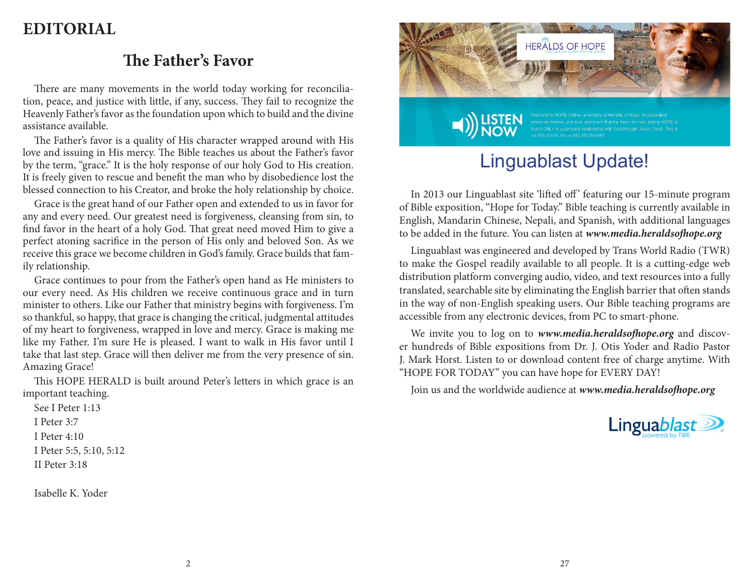# **EDITORIAL**

## **The Father's Favor**

There are many movements in the world today working for reconciliation, peace, and justice with little, if any, success. They fail to recognize the Heavenly Father's favor as the foundation upon which to build and the divine assistance available.

The Father's favor is a quality of His character wrapped around with His love and issuing in His mercy. The Bible teaches us about the Father's favor by the term, "grace." It is the holy response of our holy God to His creation. It is freely given to rescue and benefit the man who by disobedience lost the blessed connection to his Creator, and broke the holy relationship by choice.

Grace is the great hand of our Father open and extended to us in favor for any and every need. Our greatest need is forgiveness, cleansing from sin, to find favor in the heart of a holy God. That great need moved Him to give a perfect atoning sacrifice in the person of His only and beloved Son. As we receive this grace we become children in God's family. Grace builds that family relationship.

Grace continues to pour from the Father's open hand as He ministers to our every need. As His children we receive continuous grace and in turn minister to others. Like our Father that ministry begins with forgiveness. I'm so thankful, so happy, that grace is changing the critical, judgmental attitudes of my heart to forgiveness, wrapped in love and mercy. Grace is making me like my Father. I'm sure He is pleased. I want to walk in His favor until I take that last step. Grace will then deliver me from the very presence of sin. Amazing Grace!

This HOPE HERALD is built around Peter's letters in which grace is an important teaching.

See I Peter 1:13 I Peter 3:7 I Peter 4:10 I Peter 5:5, 5:10, 5:12 II Peter 3:18

Isabelle K. Yoder



# Linguablast Update!

In 2013 our Linguablast site 'lifted off' featuring our 15-minute program of Bible exposition, "Hope for Today." Bible teaching is currently available in English, Mandarin Chinese, Nepali, and Spanish, with additional languages to be added in the future. You can listen at *www.media.heraldsofhope.org*

Linguablast was engineered and developed by Trans World Radio (TWR) to make the Gospel readily available to all people. It is a cutting-edge web distribution platform converging audio, video, and text resources into a fully translated, searchable site by eliminating the English barrier that often stands in the way of non-English speaking users. Our Bible teaching programs are accessible from any electronic devices, from PC to smart-phone.

We invite you to log on to *www.media.heraldsofhope.org* and discover hundreds of Bible expositions from Dr. J. Otis Yoder and Radio Pastor J. Mark Horst. Listen to or download content free of charge anytime. With "HOPE FOR TODAY" you can have hope for EVERY DAY!

Join us and the worldwide audience at *www.media.heraldsofhope.org*

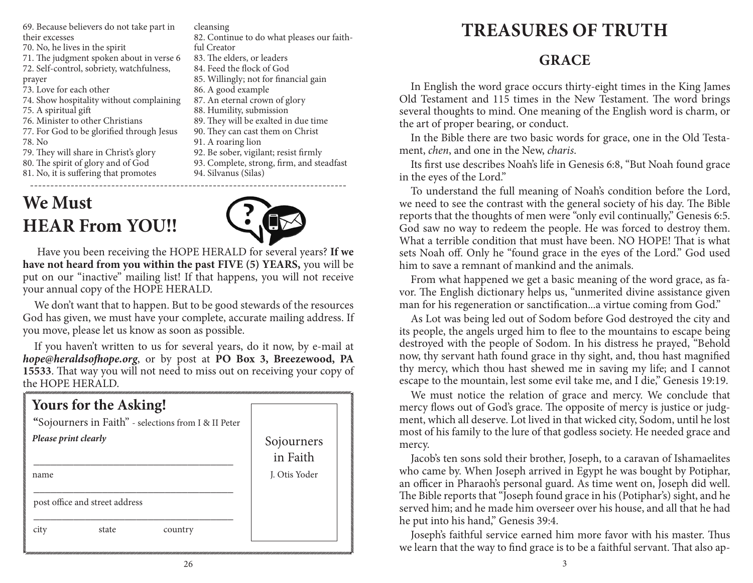69. Because believers do not take part in their excesses

70. No, he lives in the spirit

71. The judgment spoken about in verse 6

72. Self-control, sobriety, watchfulness,

prayer

- 73. Love for each other
- 74. Show hospitality without complaining
- 75. A spiritual gift
- 76. Minister to other Christians
- 77. For God to be glorified through Jesus
- 78. No
- 79. They will share in Christ's glory
- 80. The spirit of glory and of God
- 81. No, it is suffering that promotes

# ------------------------------------------------------------------------------ **We Must HEAR From YOU!!**



82. Continue to do what pleases our faith-

85. Willingly; not for financial gain

89. They will be exalted in due time 90. They can cast them on Christ

92. Be sober, vigilant; resist firmly 93. Complete, strong, firm, and steadfast

87. An eternal crown of glory 88. Humility, submission

Have you been receiving the HOPE HERALD for several years? **If we have not heard from you within the past FIVE (5) YEARS,** you will be put on our "inactive" mailing list! If that happens, you will not receive your annual copy of the HOPE HERALD.

cleansing

ful Creator

83. The elders, or leaders 84. Feed the flock of God

86. A good example

91. A roaring lion

94. Silvanus (Silas)

We don't want that to happen. But to be good stewards of the resources God has given, we must have your complete, accurate mailing address. If you move, please let us know as soon as possible.

If you haven't written to us for several years, do it now, by e-mail at *hope@heraldsofhope.org*, or by post at **PO Box 3, Breezewood, PA 15533**. That way you will not need to miss out on receiving your copy of the HOPE HERALD.

| Yours for the Asking!<br>"Sojourners in Faith" - selections from I & II Peter |                        |
|-------------------------------------------------------------------------------|------------------------|
| Please print clearly                                                          | Sojourners<br>in Faith |
| name                                                                          | J. Otis Yoder          |
| post office and street address                                                |                        |
| state<br>country<br>city                                                      |                        |

# **TREASURES OF TRUTH**

## **GRACE**

In English the word grace occurs thirty-eight times in the King James Old Testament and 115 times in the New Testament. The word brings several thoughts to mind. One meaning of the English word is charm, or the art of proper bearing, or conduct.

In the Bible there are two basic words for grace, one in the Old Testament, *chen*, and one in the New, *charis*.

Its first use describes Noah's life in Genesis 6:8, "But Noah found grace in the eyes of the Lord."

To understand the full meaning of Noah's condition before the Lord, we need to see the contrast with the general society of his day. The Bible reports that the thoughts of men were "only evil continually," Genesis 6:5. God saw no way to redeem the people. He was forced to destroy them. What a terrible condition that must have been. NO HOPE! That is what sets Noah off. Only he "found grace in the eyes of the Lord." God used him to save a remnant of mankind and the animals.

From what happened we get a basic meaning of the word grace, as favor. The English dictionary helps us, "unmerited divine assistance given man for his regeneration or sanctification...a virtue coming from God."

As Lot was being led out of Sodom before God destroyed the city and its people, the angels urged him to flee to the mountains to escape being destroyed with the people of Sodom. In his distress he prayed, "Behold now, thy servant hath found grace in thy sight, and, thou hast magnified thy mercy, which thou hast shewed me in saving my life; and I cannot escape to the mountain, lest some evil take me, and I die," Genesis 19:19.

We must notice the relation of grace and mercy. We conclude that mercy flows out of God's grace. The opposite of mercy is justice or judgment, which all deserve. Lot lived in that wicked city, Sodom, until he lost most of his family to the lure of that godless society. He needed grace and mercy.

Jacob's ten sons sold their brother, Joseph, to a caravan of Ishamaelites who came by. When Joseph arrived in Egypt he was bought by Potiphar, an officer in Pharaoh's personal guard. As time went on, Joseph did well. The Bible reports that "Joseph found grace in his (Potiphar's) sight, and he served him; and he made him overseer over his house, and all that he had he put into his hand," Genesis 39:4.

Joseph's faithful service earned him more favor with his master. Thus we learn that the way to find grace is to be a faithful servant. That also ap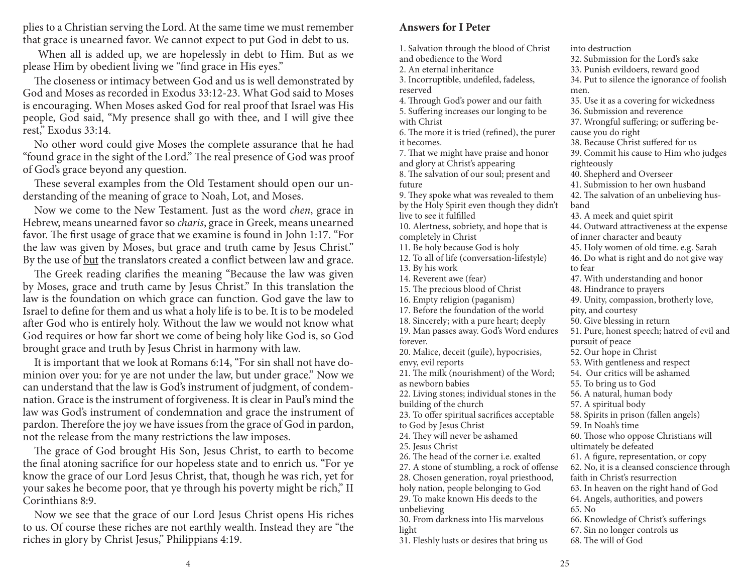plies to a Christian serving the Lord. At the same time we must remember that grace is unearned favor. We cannot expect to put God in debt to us.

 When all is added up, we are hopelessly in debt to Him. But as we please Him by obedient living we "find grace in His eyes."

The closeness or intimacy between God and us is well demonstrated by God and Moses as recorded in Exodus 33:12-23. What God said to Moses is encouraging. When Moses asked God for real proof that Israel was His people, God said, "My presence shall go with thee, and I will give thee rest," Exodus 33:14.

No other word could give Moses the complete assurance that he had "found grace in the sight of the Lord." The real presence of God was proof of God's grace beyond any question.

These several examples from the Old Testament should open our understanding of the meaning of grace to Noah, Lot, and Moses.

Now we come to the New Testament. Just as the word *chen*, grace in Hebrew, means unearned favor so *charis*, grace in Greek, means unearned favor. The first usage of grace that we examine is found in John 1:17. "For the law was given by Moses, but grace and truth came by Jesus Christ." By the use of but the translators created a conflict between law and grace.

The Greek reading clarifies the meaning "Because the law was given by Moses, grace and truth came by Jesus Christ." In this translation the law is the foundation on which grace can function. God gave the law to Israel to define for them and us what a holy life is to be. It is to be modeled after God who is entirely holy. Without the law we would not know what God requires or how far short we come of being holy like God is, so God brought grace and truth by Jesus Christ in harmony with law.

It is important that we look at Romans 6:14, "For sin shall not have dominion over you: for ye are not under the law, but under grace." Now we can understand that the law is God's instrument of judgment, of condemnation. Grace is the instrument of forgiveness. It is clear in Paul's mind the law was God's instrument of condemnation and grace the instrument of pardon. Therefore the joy we have issues from the grace of God in pardon, not the release from the many restrictions the law imposes.

The grace of God brought His Son, Jesus Christ, to earth to become the final atoning sacrifice for our hopeless state and to enrich us. "For ye know the grace of our Lord Jesus Christ, that, though he was rich, yet for your sakes he become poor, that ye through his poverty might be rich," II Corinthians 8:9.

Now we see that the grace of our Lord Jesus Christ opens His riches to us. Of course these riches are not earthly wealth. Instead they are "the riches in glory by Christ Jesus," Philippians 4:19.

#### **Answers for I Peter**

1. Salvation through the blood of Christ and obedience to the Word 2. An eternal inheritance 3. Incorruptible, undefiled, fadeless, reserved 4. Through God's power and our faith 5. Suffering increases our longing to be with Christ 6. The more it is tried (refined), the purer it becomes. 7. That we might have praise and honor and glory at Christ's appearing 8. The salvation of our soul; present and future 9. They spoke what was revealed to them by the Holy Spirit even though they didn't live to see it fulfilled 10. Alertness, sobriety, and hope that is completely in Christ 11. Be holy because God is holy 12. To all of life (conversation-lifestyle) 13. By his work 14. Reverent awe (fear) 15. The precious blood of Christ 16. Empty religion (paganism) 17. Before the foundation of the world 18. Sincerely; with a pure heart; deeply 19. Man passes away. God's Word endures forever. 20. Malice, deceit (guile), hypocrisies, envy, evil reports 21. The milk (nourishment) of the Word; as newborn babies 22. Living stones; individual stones in the building of the church 23. To offer spiritual sacrifices acceptable to God by Jesus Christ 24. They will never be ashamed 25. Jesus Christ 26. The head of the corner i.e. exalted 27. A stone of stumbling, a rock of offense 28. Chosen generation, royal priesthood, holy nation, people belonging to God 29. To make known His deeds to the unbelieving 30. From darkness into His marvelous light 31. Fleshly lusts or desires that bring us into destruction 32. Submission for the Lord's sake 33. Punish evildoers, reward good 34. Put to silence the ignorance of foolish men. 35. Use it as a covering for wickedness 36. Submission and reverence cause you do right righteously 40. Shepherd and Overseer band 43. A meek and quiet spirit to fear 48. Hindrance to prayers pity, and courtesy 50. Give blessing in return pursuit of peace 52. Our hope in Christ 55. To bring us to God 56. A natural, human body 57. A spiritual body 59. In Noah's time ultimately be defeated faith in Christ's resurrection 65. No 67. Sin no longer controls us 68. The will of God

37. Wrongful suffering; or suffering be-38. Because Christ suffered for us 39. Commit his cause to Him who judges 41. Submission to her own husband 42. The salvation of an unbelieving hus-44. Outward attractiveness at the expense of inner character and beauty 45. Holy women of old time. e.g. Sarah 46. Do what is right and do not give way 47. With understanding and honor 49. Unity, compassion, brotherly love, 51. Pure, honest speech; hatred of evil and 53. With gentleness and respect 54. Our critics will be ashamed 58. Spirits in prison (fallen angels) 60. Those who oppose Christians will 61. A figure, representation, or copy 62. No, it is a cleansed conscience through 63. In heaven on the right hand of God 64. Angels, authorities, and powers 66. Knowledge of Christ's sufferings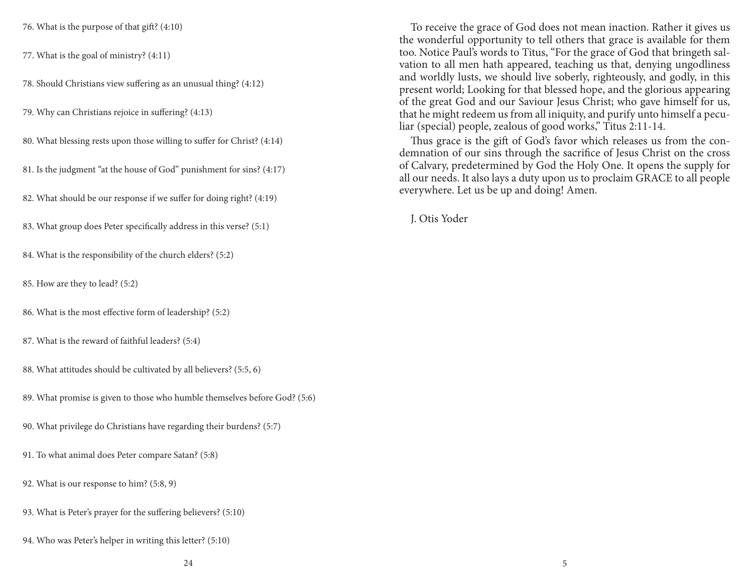76. What is the purpose of that gift? (4:10)

77. What is the goal of ministry? (4:11)

78. Should Christians view suffering as an unusual thing? (4:12)

79. Why can Christians rejoice in suffering? (4:13)

80. What blessing rests upon those willing to suffer for Christ? (4:14)

81. Is the judgment "at the house of God" punishment for sins? (4:17)

82. What should be our response if we suffer for doing right? (4:19)

83. What group does Peter specifically address in this verse? (5:1)

84. What is the responsibility of the church elders? (5:2)

85. How are they to lead? (5:2)

86. What is the most effective form of leadership? (5:2)

87. What is the reward of faithful leaders? (5:4)

88. What attitudes should be cultivated by all believers? (5:5, 6)

89. What promise is given to those who humble themselves before God? (5:6)

90. What privilege do Christians have regarding their burdens? (5:7)

91. To what animal does Peter compare Satan? (5:8)

92. What is our response to him? (5:8, 9)

93. What is Peter's prayer for the suffering believers? (5:10)

94. Who was Peter's helper in writing this letter? (5:10)

To receive the grace of God does not mean inaction. Rather it gives us the wonderful opportunity to tell others that grace is available for them too. Notice Paul's words to Titus, "For the grace of God that bringeth salvation to all men hath appeared, teaching us that, denying ungodliness and worldly lusts, we should live soberly, righteously, and godly, in this present world; Looking for that blessed hope, and the glorious appearing of the great God and our Saviour Jesus Christ; who gave himself for us, that he might redeem us from all iniquity, and purify unto himself a peculiar (special) people, zealous of good works," Titus 2:11-14.

Thus grace is the gift of God's favor which releases us from the condemnation of our sins through the sacrifice of Jesus Christ on the cross of Calvary, predetermined by God the Holy One. It opens the supply for all our needs. It also lays a duty upon us to proclaim GRACE to all people everywhere. Let us be up and doing! Amen.

J. Otis Yoder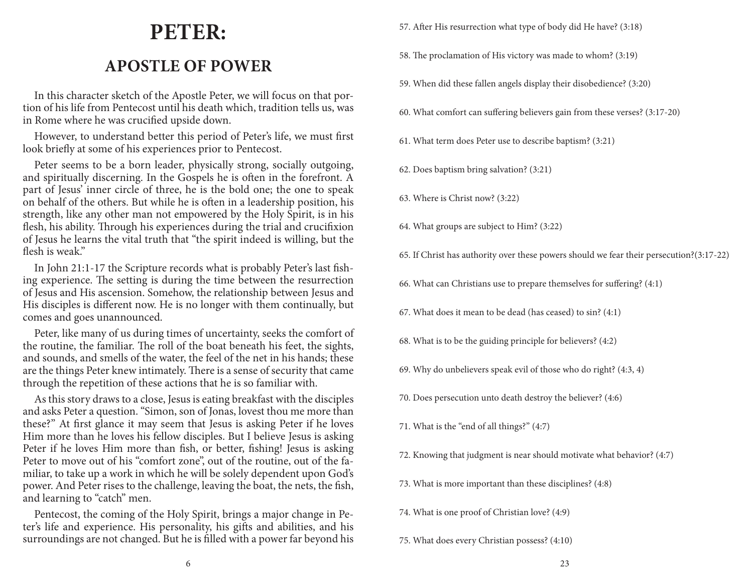# **PETER:**

# **APOSTLE OF POWER**

In this character sketch of the Apostle Peter, we will focus on that portion of his life from Pentecost until his death which, tradition tells us, was in Rome where he was crucified upside down.

However, to understand better this period of Peter's life, we must first look briefly at some of his experiences prior to Pentecost.

Peter seems to be a born leader, physically strong, socially outgoing, and spiritually discerning. In the Gospels he is often in the forefront. A part of Jesus' inner circle of three, he is the bold one; the one to speak on behalf of the others. But while he is often in a leadership position, his strength, like any other man not empowered by the Holy Spirit, is in his flesh, his ability. Through his experiences during the trial and crucifixion of Jesus he learns the vital truth that "the spirit indeed is willing, but the flesh is weak."

In John 21:1-17 the Scripture records what is probably Peter's last fishing experience. The setting is during the time between the resurrection of Jesus and His ascension. Somehow, the relationship between Jesus and His disciples is different now. He is no longer with them continually, but comes and goes unannounced.

Peter, like many of us during times of uncertainty, seeks the comfort of the routine, the familiar. The roll of the boat beneath his feet, the sights, and sounds, and smells of the water, the feel of the net in his hands; these are the things Peter knew intimately. There is a sense of security that came through the repetition of these actions that he is so familiar with.

As this story draws to a close, Jesus is eating breakfast with the disciples and asks Peter a question. "Simon, son of Jonas, lovest thou me more than these?" At first glance it may seem that Jesus is asking Peter if he loves Him more than he loves his fellow disciples. But I believe Jesus is asking Peter if he loves Him more than fish, or better, fishing! Jesus is asking Peter to move out of his "comfort zone", out of the routine, out of the familiar, to take up a work in which he will be solely dependent upon God's power. And Peter rises to the challenge, leaving the boat, the nets, the fish, and learning to "catch" men.

Pentecost, the coming of the Holy Spirit, brings a major change in Peter's life and experience. His personality, his gifts and abilities, and his surroundings are not changed. But he is filled with a power far beyond his 57. After His resurrection what type of body did He have? (3:18)

- 58. The proclamation of His victory was made to whom? (3:19)
- 59. When did these fallen angels display their disobedience? (3:20)
- 60. What comfort can suffering believers gain from these verses? (3:17-20)
- 61. What term does Peter use to describe baptism? (3:21)
- 62. Does baptism bring salvation? (3:21)
- 63. Where is Christ now? (3:22)
- 64. What groups are subject to Him? (3:22)
- 65. If Christ has authority over these powers should we fear their persecution?(3:17-22)
- 66. What can Christians use to prepare themselves for suffering? (4:1)
- 67. What does it mean to be dead (has ceased) to sin? (4:1)
- 68. What is to be the guiding principle for believers? (4:2)
- 69. Why do unbelievers speak evil of those who do right? (4:3, 4)
- 70. Does persecution unto death destroy the believer? (4:6)
- 71. What is the "end of all things?" (4:7)
- 72. Knowing that judgment is near should motivate what behavior? (4:7)
- 73. What is more important than these disciplines? (4:8)
- 74. What is one proof of Christian love? (4:9)
- 75. What does every Christian possess? (4:10)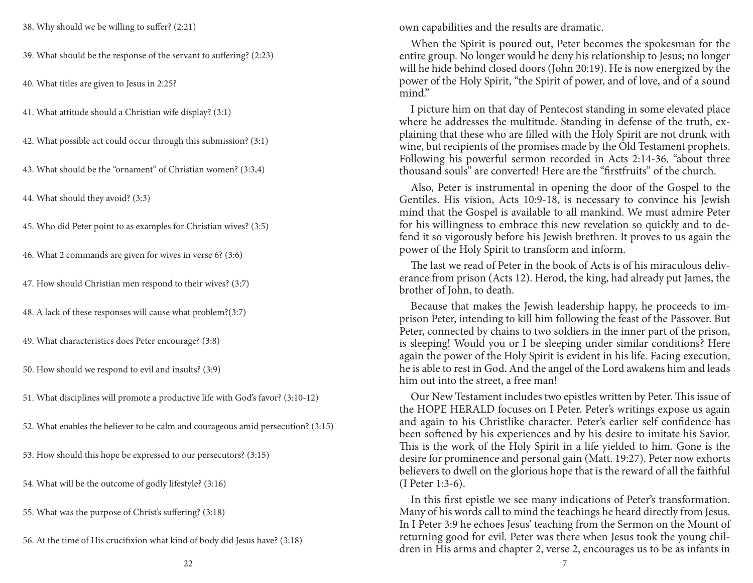38. Why should we be willing to suffer? (2:21)

39. What should be the response of the servant to suffering? (2:23)

40. What titles are given to Jesus in 2:25?

41. What attitude should a Christian wife display? (3:1)

42. What possible act could occur through this submission? (3:1)

43. What should be the "ornament" of Christian women? (3:3,4)

44. What should they avoid? (3:3)

45. Who did Peter point to as examples for Christian wives? (3:5)

46. What 2 commands are given for wives in verse 6? (3:6)

47. How should Christian men respond to their wives? (3:7)

48. A lack of these responses will cause what problem?(3:7)

49. What characteristics does Peter encourage? (3:8)

50. How should we respond to evil and insults? (3:9)

51. What disciplines will promote a productive life with God's favor? (3:10-12)

- 52. What enables the believer to be calm and courageous amid persecution? (3:15)
- 53. How should this hope be expressed to our persecutors? (3:15)

54. What will be the outcome of godly lifestyle? (3:16)

55. What was the purpose of Christ's suffering? (3:18)

56. At the time of His crucifixion what kind of body did Jesus have? (3:18)

own capabilities and the results are dramatic.

When the Spirit is poured out, Peter becomes the spokesman for the entire group. No longer would he deny his relationship to Jesus; no longer will he hide behind closed doors (John 20:19). He is now energized by the power of the Holy Spirit, "the Spirit of power, and of love, and of a sound mind."

I picture him on that day of Pentecost standing in some elevated place where he addresses the multitude. Standing in defense of the truth, explaining that these who are filled with the Holy Spirit are not drunk with wine, but recipients of the promises made by the Old Testament prophets. Following his powerful sermon recorded in Acts 2:14-36, "about three thousand souls" are converted! Here are the "firstfruits" of the church.

Also, Peter is instrumental in opening the door of the Gospel to the Gentiles. His vision, Acts 10:9-18, is necessary to convince his Jewish mind that the Gospel is available to all mankind. We must admire Peter for his willingness to embrace this new revelation so quickly and to defend it so vigorously before his Jewish brethren. It proves to us again the power of the Holy Spirit to transform and inform.

The last we read of Peter in the book of Acts is of his miraculous deliverance from prison (Acts 12). Herod, the king, had already put James, the brother of John, to death.

Because that makes the Jewish leadership happy, he proceeds to imprison Peter, intending to kill him following the feast of the Passover. But Peter, connected by chains to two soldiers in the inner part of the prison, is sleeping! Would you or I be sleeping under similar conditions? Here again the power of the Holy Spirit is evident in his life. Facing execution, he is able to rest in God. And the angel of the Lord awakens him and leads him out into the street, a free man!

Our New Testament includes two epistles written by Peter. This issue of the HOPE HERALD focuses on I Peter. Peter's writings expose us again and again to his Christlike character. Peter's earlier self confidence has been softened by his experiences and by his desire to imitate his Savior. This is the work of the Holy Spirit in a life yielded to him. Gone is the desire for prominence and personal gain (Matt. 19:27). Peter now exhorts believers to dwell on the glorious hope that is the reward of all the faithful (I Peter 1:3-6).

In this first epistle we see many indications of Peter's transformation. Many of his words call to mind the teachings he heard directly from Jesus. In I Peter 3:9 he echoes Jesus' teaching from the Sermon on the Mount of returning good for evil. Peter was there when Jesus took the young children in His arms and chapter 2, verse 2, encourages us to be as infants in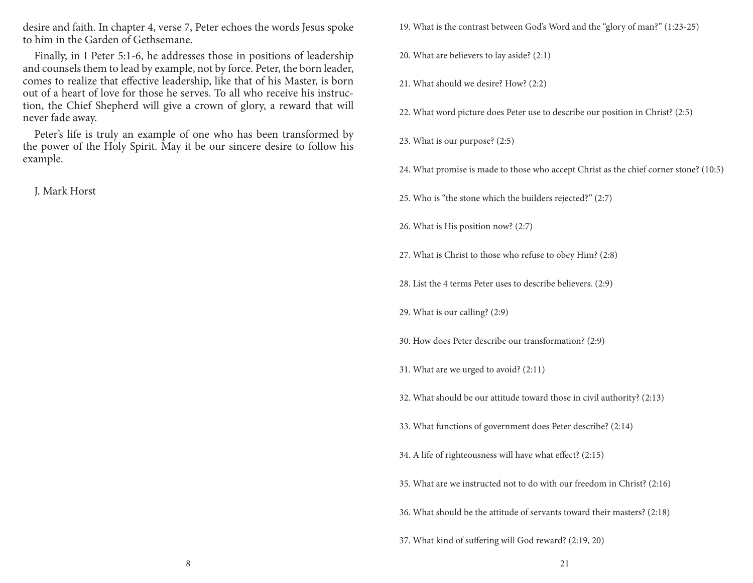desire and faith. In chapter 4, verse 7, Peter echoes the words Jesus spoke to him in the Garden of Gethsemane.

Finally, in I Peter 5:1-6, he addresses those in positions of leadership and counsels them to lead by example, not by force. Peter, the born leader, comes to realize that effective leadership, like that of his Master, is born out of a heart of love for those he serves. To all who receive his instruction, the Chief Shepherd will give a crown of glory, a reward that will never fade away.

Peter's life is truly an example of one who has been transformed by the power of the Holy Spirit. May it be our sincere desire to follow his example.

J. Mark Horst

- 19. What is the contrast between God's Word and the "glory of man?" (1:23-25)
- 20. What are believers to lay aside? (2:1)
- 21. What should we desire? How? (2:2)
- 22. What word picture does Peter use to describe our position in Christ? (2:5)
- 23. What is our purpose? (2:5)
- 24. What promise is made to those who accept Christ as the chief corner stone? (10:5)
- 25. Who is "the stone which the builders rejected?" (2:7)
- 26. What is His position now? (2:7)
- 27. What is Christ to those who refuse to obey Him? (2:8)
- 28. List the 4 terms Peter uses to describe believers. (2:9)
- 29. What is our calling? (2:9)
- 30. How does Peter describe our transformation? (2:9)
- 31. What are we urged to avoid? (2:11)
- 32. What should be our attitude toward those in civil authority? (2:13)
- 33. What functions of government does Peter describe? (2:14)
- 34. A life of righteousness will have what effect? (2:15)
- 35. What are we instructed not to do with our freedom in Christ? (2:16)
- 36. What should be the attitude of servants toward their masters? (2:18)
- 37. What kind of suffering will God reward? (2:19, 20)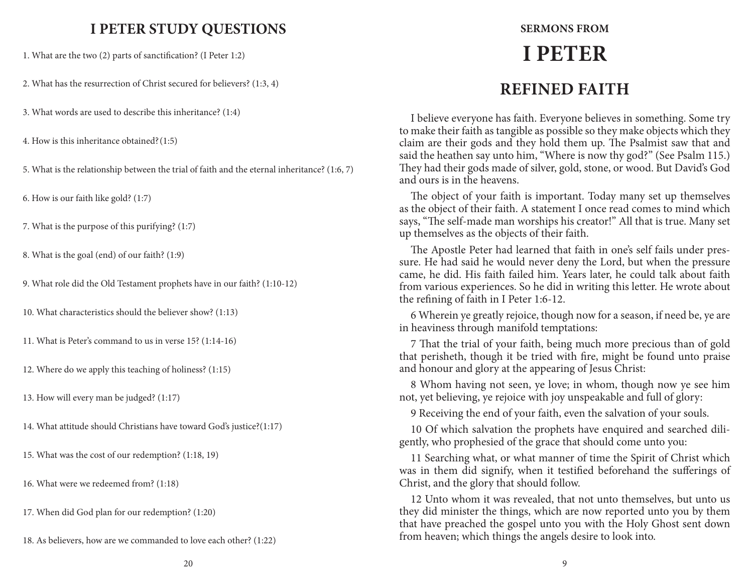### **I PETER STUDY QUESTIONS SERMONS FROM**

1. What are the two (2) parts of sanctification? (I Peter 1:2)

2. What has the resurrection of Christ secured for believers? (1:3, 4)

3. What words are used to describe this inheritance? (1:4)

4. How is this inheritance obtained?(1:5)

5. What is the relationship between the trial of faith and the eternal inheritance? (1:6, 7)

6. How is our faith like gold? (1:7)

7. What is the purpose of this purifying? (1:7)

8. What is the goal (end) of our faith? (1:9)

9. What role did the Old Testament prophets have in our faith? (1:10-12)

10. What characteristics should the believer show? (1:13)

11. What is Peter's command to us in verse 15? (1:14-16)

12. Where do we apply this teaching of holiness? (1:15)

13. How will every man be judged? (1:17)

14. What attitude should Christians have toward God's justice?(1:17)

15. What was the cost of our redemption? (1:18, 19)

16. What were we redeemed from? (1:18)

17. When did God plan for our redemption? (1:20)

18. As believers, how are we commanded to love each other? (1:22)

# **I PETER REFINED FAITH**

I believe everyone has faith. Everyone believes in something. Some try to make their faith as tangible as possible so they make objects which they claim are their gods and they hold them up. The Psalmist saw that and said the heathen say unto him, "Where is now thy god?" (See Psalm 115.) They had their gods made of silver, gold, stone, or wood. But David's God and ours is in the heavens.

The object of your faith is important. Today many set up themselves as the object of their faith. A statement I once read comes to mind which says, "The self-made man worships his creator!" All that is true. Many set up themselves as the objects of their faith.

The Apostle Peter had learned that faith in one's self fails under pressure. He had said he would never deny the Lord, but when the pressure came, he did. His faith failed him. Years later, he could talk about faith from various experiences. So he did in writing this letter. He wrote about the refining of faith in I Peter 1:6-12.

6 Wherein ye greatly rejoice, though now for a season, if need be, ye are in heaviness through manifold temptations:

7 That the trial of your faith, being much more precious than of gold that perisheth, though it be tried with fire, might be found unto praise and honour and glory at the appearing of Jesus Christ:

8 Whom having not seen, ye love; in whom, though now ye see him not, yet believing, ye rejoice with joy unspeakable and full of glory:

9 Receiving the end of your faith, even the salvation of your souls.

10 Of which salvation the prophets have enquired and searched diligently, who prophesied of the grace that should come unto you:

11 Searching what, or what manner of time the Spirit of Christ which was in them did signify, when it testified beforehand the sufferings of Christ, and the glory that should follow.

12 Unto whom it was revealed, that not unto themselves, but unto us they did minister the things, which are now reported unto you by them that have preached the gospel unto you with the Holy Ghost sent down from heaven; which things the angels desire to look into.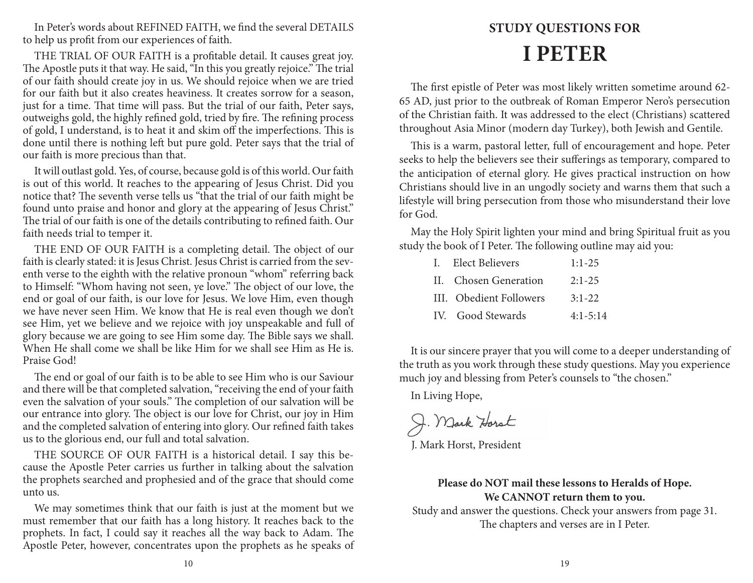In Peter's words about REFINED FAITH, we find the several DETAILS to help us profit from our experiences of faith.

THE TRIAL OF OUR FAITH is a profitable detail. It causes great joy. The Apostle puts it that way. He said, "In this you greatly rejoice." The trial of our faith should create joy in us. We should rejoice when we are tried for our faith but it also creates heaviness. It creates sorrow for a season, just for a time. That time will pass. But the trial of our faith, Peter says, outweighs gold, the highly refined gold, tried by fire. The refining process of gold, I understand, is to heat it and skim off the imperfections. This is done until there is nothing left but pure gold. Peter says that the trial of our faith is more precious than that.

It will outlast gold. Yes, of course, because gold is of this world. Our faith is out of this world. It reaches to the appearing of Jesus Christ. Did you notice that? The seventh verse tells us "that the trial of our faith might be found unto praise and honor and glory at the appearing of Jesus Christ." The trial of our faith is one of the details contributing to refined faith. Our faith needs trial to temper it.

THE END OF OUR FAITH is a completing detail. The object of our faith is clearly stated: it is Jesus Christ. Jesus Christ is carried from the seventh verse to the eighth with the relative pronoun "whom" referring back to Himself: "Whom having not seen, ye love." The object of our love, the end or goal of our faith, is our love for Jesus. We love Him, even though we have never seen Him. We know that He is real even though we don't see Him, yet we believe and we rejoice with joy unspeakable and full of glory because we are going to see Him some day. The Bible says we shall. When He shall come we shall be like Him for we shall see Him as He is. Praise God!

The end or goal of our faith is to be able to see Him who is our Saviour and there will be that completed salvation, "receiving the end of your faith even the salvation of your souls." The completion of our salvation will be our entrance into glory. The object is our love for Christ, our joy in Him and the completed salvation of entering into glory. Our refined faith takes us to the glorious end, our full and total salvation.

THE SOURCE OF OUR FAITH is a historical detail. I say this because the Apostle Peter carries us further in talking about the salvation the prophets searched and prophesied and of the grace that should come unto us.

We may sometimes think that our faith is just at the moment but we must remember that our faith has a long history. It reaches back to the prophets. In fact, I could say it reaches all the way back to Adam. The Apostle Peter, however, concentrates upon the prophets as he speaks of

# **STUDY QUESTIONS FOR I PETER**

The first epistle of Peter was most likely written sometime around 62- 65 AD, just prior to the outbreak of Roman Emperor Nero's persecution of the Christian faith. It was addressed to the elect (Christians) scattered throughout Asia Minor (modern day Turkey), both Jewish and Gentile.

This is a warm, pastoral letter, full of encouragement and hope. Peter seeks to help the believers see their sufferings as temporary, compared to the anticipation of eternal glory. He gives practical instruction on how Christians should live in an ungodly society and warns them that such a lifestyle will bring persecution from those who misunderstand their love for God.

May the Holy Spirit lighten your mind and bring Spiritual fruit as you study the book of I Peter. The following outline may aid you:

| I. Elect Believers      | $1:1-25$     |
|-------------------------|--------------|
| II. Chosen Generation   | $2:1-25$     |
| III. Obedient Followers | $3:1-22$     |
| IV. Good Stewards       | $4:1 - 5:14$ |

It is our sincere prayer that you will come to a deeper understanding of the truth as you work through these study questions. May you experience much joy and blessing from Peter's counsels to "the chosen."

In Living Hope,

J. Mark Horst

J. Mark Horst, President

#### **Please do NOT mail these lessons to Heralds of Hope. We CANNOT return them to you.**

Study and answer the questions. Check your answers from page 31. The chapters and verses are in I Peter.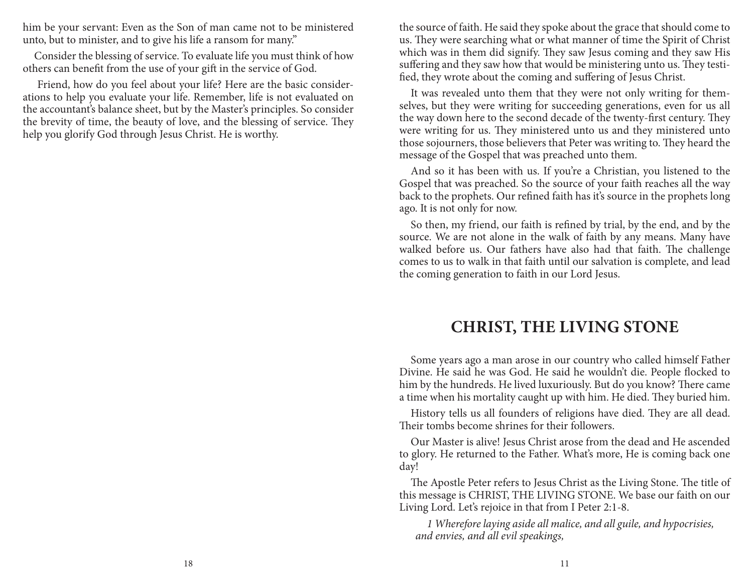him be your servant: Even as the Son of man came not to be ministered unto, but to minister, and to give his life a ransom for many."

Consider the blessing of service. To evaluate life you must think of how others can benefit from the use of your gift in the service of God.

 Friend, how do you feel about your life? Here are the basic considerations to help you evaluate your life. Remember, life is not evaluated on the accountant's balance sheet, but by the Master's principles. So consider the brevity of time, the beauty of love, and the blessing of service. They help you glorify God through Jesus Christ. He is worthy.

the source of faith. He said they spoke about the grace that should come to us. They were searching what or what manner of time the Spirit of Christ which was in them did signify. They saw Jesus coming and they saw His suffering and they saw how that would be ministering unto us. They testified, they wrote about the coming and suffering of Jesus Christ.

It was revealed unto them that they were not only writing for themselves, but they were writing for succeeding generations, even for us all the way down here to the second decade of the twenty-first century. They were writing for us. They ministered unto us and they ministered unto those sojourners, those believers that Peter was writing to. They heard the message of the Gospel that was preached unto them.

And so it has been with us. If you're a Christian, you listened to the Gospel that was preached. So the source of your faith reaches all the way back to the prophets. Our refined faith has it's source in the prophets long ago. It is not only for now.

So then, my friend, our faith is refined by trial, by the end, and by the source. We are not alone in the walk of faith by any means. Many have walked before us. Our fathers have also had that faith. The challenge comes to us to walk in that faith until our salvation is complete, and lead the coming generation to faith in our Lord Jesus.

### **CHRIST, THE LIVING STONE**

Some years ago a man arose in our country who called himself Father Divine. He said he was God. He said he wouldn't die. People flocked to him by the hundreds. He lived luxuriously. But do you know? There came a time when his mortality caught up with him. He died. They buried him.

History tells us all founders of religions have died. They are all dead. Their tombs become shrines for their followers.

Our Master is alive! Jesus Christ arose from the dead and He ascended to glory. He returned to the Father. What's more, He is coming back one day!

The Apostle Peter refers to Jesus Christ as the Living Stone. The title of this message is CHRIST, THE LIVING STONE. We base our faith on our Living Lord. Let's rejoice in that from I Peter 2:1-8.

*1 Wherefore laying aside all malice, and all guile, and hypocrisies, and envies, and all evil speakings,*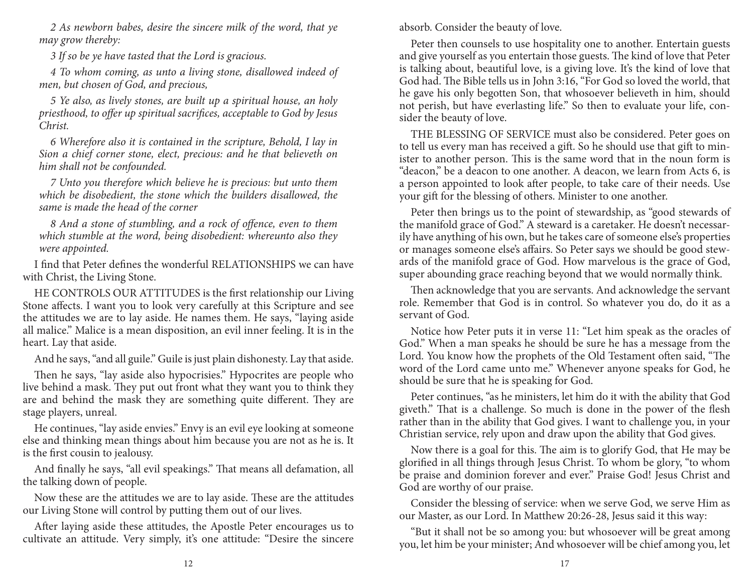*2 As newborn babes, desire the sincere milk of the word, that ye may grow thereby:*

*3 If so be ye have tasted that the Lord is gracious.*

*4 To whom coming, as unto a living stone, disallowed indeed of men, but chosen of God, and precious,*

*5 Ye also, as lively stones, are built up a spiritual house, an holy priesthood, to offer up spiritual sacrifices, acceptable to God by Jesus Christ.*

*6 Wherefore also it is contained in the scripture, Behold, I lay in Sion a chief corner stone, elect, precious: and he that believeth on him shall not be confounded.*

*7 Unto you therefore which believe he is precious: but unto them which be disobedient, the stone which the builders disallowed, the same is made the head of the corner*

*8 And a stone of stumbling, and a rock of offence, even to them which stumble at the word, being disobedient: whereunto also they were appointed.*

I find that Peter defines the wonderful RELATIONSHIPS we can have with Christ, the Living Stone.

HE CONTROLS OUR ATTITUDES is the first relationship our Living Stone affects. I want you to look very carefully at this Scripture and see the attitudes we are to lay aside. He names them. He says, "laying aside all malice." Malice is a mean disposition, an evil inner feeling. It is in the heart. Lay that aside.

And he says, "and all guile." Guile is just plain dishonesty. Lay that aside.

Then he says, "lay aside also hypocrisies." Hypocrites are people who live behind a mask. They put out front what they want you to think they are and behind the mask they are something quite different. They are stage players, unreal.

He continues, "lay aside envies." Envy is an evil eye looking at someone else and thinking mean things about him because you are not as he is. It is the first cousin to jealousy.

And finally he says, "all evil speakings." That means all defamation, all the talking down of people.

Now these are the attitudes we are to lay aside. These are the attitudes our Living Stone will control by putting them out of our lives.

After laying aside these attitudes, the Apostle Peter encourages us to cultivate an attitude. Very simply, it's one attitude: "Desire the sincere absorb. Consider the beauty of love.

Peter then counsels to use hospitality one to another. Entertain guests and give yourself as you entertain those guests. The kind of love that Peter is talking about, beautiful love, is a giving love. It's the kind of love that God had. The Bible tells us in John 3:16, "For God so loved the world, that he gave his only begotten Son, that whosoever believeth in him, should not perish, but have everlasting life." So then to evaluate your life, consider the beauty of love.

THE BLESSING OF SERVICE must also be considered. Peter goes on to tell us every man has received a gift. So he should use that gift to minister to another person. This is the same word that in the noun form is "deacon," be a deacon to one another. A deacon, we learn from Acts 6, is a person appointed to look after people, to take care of their needs. Use your gift for the blessing of others. Minister to one another.

Peter then brings us to the point of stewardship, as "good stewards of the manifold grace of God." A steward is a caretaker. He doesn't necessarily have anything of his own, but he takes care of someone else's properties or manages someone else's affairs. So Peter says we should be good stewards of the manifold grace of God. How marvelous is the grace of God, super abounding grace reaching beyond that we would normally think.

Then acknowledge that you are servants. And acknowledge the servant role. Remember that God is in control. So whatever you do, do it as a servant of God.

Notice how Peter puts it in verse 11: "Let him speak as the oracles of God." When a man speaks he should be sure he has a message from the Lord. You know how the prophets of the Old Testament often said, "The word of the Lord came unto me." Whenever anyone speaks for God, he should be sure that he is speaking for God.

Peter continues, "as he ministers, let him do it with the ability that God giveth." That is a challenge. So much is done in the power of the flesh rather than in the ability that God gives. I want to challenge you, in your Christian service, rely upon and draw upon the ability that God gives.

Now there is a goal for this. The aim is to glorify God, that He may be glorified in all things through Jesus Christ. To whom be glory, "to whom be praise and dominion forever and ever." Praise God! Jesus Christ and God are worthy of our praise.

Consider the blessing of service: when we serve God, we serve Him as our Master, as our Lord. In Matthew 20:26-28, Jesus said it this way:

"But it shall not be so among you: but whosoever will be great among you, let him be your minister; And whosoever will be chief among you, let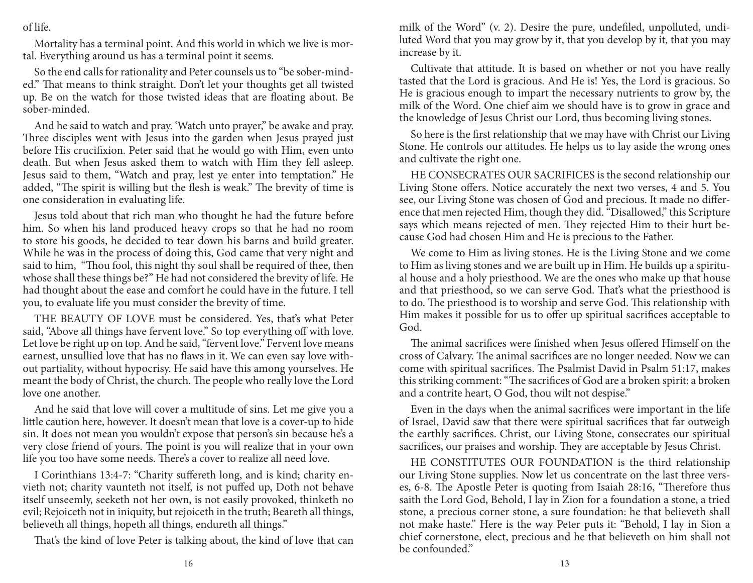of life.

Mortality has a terminal point. And this world in which we live is mortal. Everything around us has a terminal point it seems.

So the end calls for rationality and Peter counsels us to "be sober-minded." That means to think straight. Don't let your thoughts get all twisted up. Be on the watch for those twisted ideas that are floating about. Be sober-minded.

And he said to watch and pray. 'Watch unto prayer," be awake and pray. Three disciples went with Jesus into the garden when Jesus prayed just before His crucifixion. Peter said that he would go with Him, even unto death. But when Jesus asked them to watch with Him they fell asleep. Jesus said to them, "Watch and pray, lest ye enter into temptation." He added, "The spirit is willing but the flesh is weak." The brevity of time is one consideration in evaluating life.

Jesus told about that rich man who thought he had the future before him. So when his land produced heavy crops so that he had no room to store his goods, he decided to tear down his barns and build greater. While he was in the process of doing this, God came that very night and said to him, "Thou fool, this night thy soul shall be required of thee, then whose shall these things be?" He had not considered the brevity of life. He had thought about the ease and comfort he could have in the future. I tell you, to evaluate life you must consider the brevity of time.

THE BEAUTY OF LOVE must be considered. Yes, that's what Peter said, "Above all things have fervent love." So top everything off with love. Let love be right up on top. And he said, "fervent love." Fervent love means earnest, unsullied love that has no flaws in it. We can even say love without partiality, without hypocrisy. He said have this among yourselves. He meant the body of Christ, the church. The people who really love the Lord love one another.

And he said that love will cover a multitude of sins. Let me give you a little caution here, however. It doesn't mean that love is a cover-up to hide sin. It does not mean you wouldn't expose that person's sin because he's a very close friend of yours. The point is you will realize that in your own life you too have some needs. There's a cover to realize all need love.

I Corinthians 13:4-7: "Charity suffereth long, and is kind; charity envieth not; charity vaunteth not itself, is not puffed up, Doth not behave itself unseemly, seeketh not her own, is not easily provoked, thinketh no evil; Rejoiceth not in iniquity, but rejoiceth in the truth; Beareth all things, believeth all things, hopeth all things, endureth all things."

That's the kind of love Peter is talking about, the kind of love that can

milk of the Word" (v. 2). Desire the pure, undefiled, unpolluted, undiluted Word that you may grow by it, that you develop by it, that you may increase by it.

Cultivate that attitude. It is based on whether or not you have really tasted that the Lord is gracious. And He is! Yes, the Lord is gracious. So He is gracious enough to impart the necessary nutrients to grow by, the milk of the Word. One chief aim we should have is to grow in grace and the knowledge of Jesus Christ our Lord, thus becoming living stones.

So here is the first relationship that we may have with Christ our Living Stone. He controls our attitudes. He helps us to lay aside the wrong ones and cultivate the right one.

HE CONSECRATES OUR SACRIFICES is the second relationship our Living Stone offers. Notice accurately the next two verses, 4 and 5. You see, our Living Stone was chosen of God and precious. It made no difference that men rejected Him, though they did. "Disallowed," this Scripture says which means rejected of men. They rejected Him to their hurt because God had chosen Him and He is precious to the Father.

We come to Him as living stones. He is the Living Stone and we come to Him as living stones and we are built up in Him. He builds up a spiritual house and a holy priesthood. We are the ones who make up that house and that priesthood, so we can serve God. That's what the priesthood is to do. The priesthood is to worship and serve God. This relationship with Him makes it possible for us to offer up spiritual sacrifices acceptable to God.

The animal sacrifices were finished when Jesus offered Himself on the cross of Calvary. The animal sacrifices are no longer needed. Now we can come with spiritual sacrifices. The Psalmist David in Psalm 51:17, makes this striking comment: "The sacrifices of God are a broken spirit: a broken and a contrite heart, O God, thou wilt not despise."

Even in the days when the animal sacrifices were important in the life of Israel, David saw that there were spiritual sacrifices that far outweigh the earthly sacrifices. Christ, our Living Stone, consecrates our spiritual sacrifices, our praises and worship. They are acceptable by Jesus Christ.

HE CONSTITUTES OUR FOUNDATION is the third relationship our Living Stone supplies. Now let us concentrate on the last three verses, 6-8. The Apostle Peter is quoting from Isaiah 28:16, "Therefore thus saith the Lord God, Behold, I lay in Zion for a foundation a stone, a tried stone, a precious corner stone, a sure foundation: he that believeth shall not make haste." Here is the way Peter puts it: "Behold, I lay in Sion a chief cornerstone, elect, precious and he that believeth on him shall not be confounded."